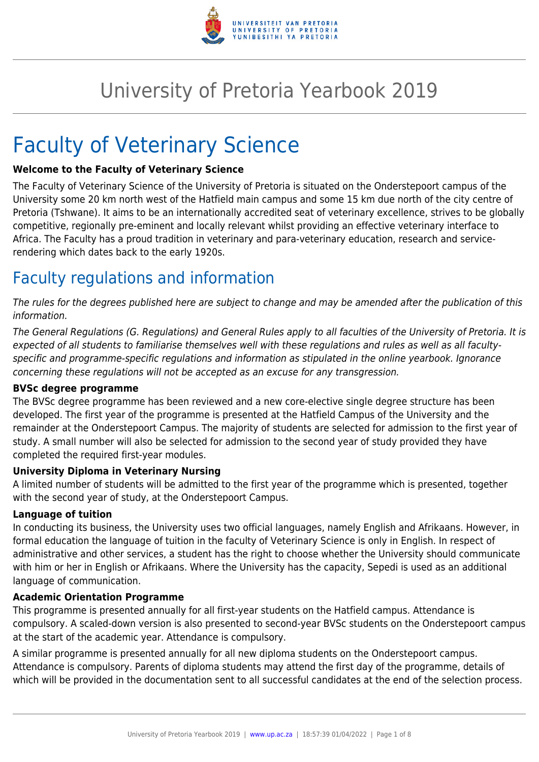

# University of Pretoria Yearbook 2019

# Faculty of Veterinary Science

#### **Welcome to the Faculty of Veterinary Science**

The Faculty of Veterinary Science of the University of Pretoria is situated on the Onderstepoort campus of the University some 20 km north west of the Hatfield main campus and some 15 km due north of the city centre of Pretoria (Tshwane). It aims to be an internationally accredited seat of veterinary excellence, strives to be globally competitive, regionally pre-eminent and locally relevant whilst providing an effective veterinary interface to Africa. The Faculty has a proud tradition in veterinary and para-veterinary education, research and servicerendering which dates back to the early 1920s.

### Faculty regulations and information

The rules for the degrees published here are subject to change and may be amended after the publication of this information.

The General Regulations (G. Regulations) and General Rules apply to all faculties of the University of Pretoria. It is expected of all students to familiarise themselves well with these regulations and rules as well as all facultyspecific and programme-specific regulations and information as stipulated in the online yearbook. Ignorance concerning these regulations will not be accepted as an excuse for any transgression.

#### **BVSc degree programme**

The BVSc degree programme has been reviewed and a new core-elective single degree structure has been developed. The first year of the programme is presented at the Hatfield Campus of the University and the remainder at the Onderstepoort Campus. The majority of students are selected for admission to the first year of study. A small number will also be selected for admission to the second year of study provided they have completed the required first-year modules.

#### **University Diploma in Veterinary Nursing**

A limited number of students will be admitted to the first year of the programme which is presented, together with the second year of study, at the Onderstepoort Campus.

#### **Language of tuition**

In conducting its business, the University uses two official languages, namely English and Afrikaans. However, in formal education the language of tuition in the faculty of Veterinary Science is only in English. In respect of administrative and other services, a student has the right to choose whether the University should communicate with him or her in English or Afrikaans. Where the University has the capacity, Sepedi is used as an additional language of communication.

#### **Academic Orientation Programme**

This programme is presented annually for all first-year students on the Hatfield campus. Attendance is compulsory. A scaled-down version is also presented to second-year BVSc students on the Onderstepoort campus at the start of the academic year. Attendance is compulsory.

A similar programme is presented annually for all new diploma students on the Onderstepoort campus. Attendance is compulsory. Parents of diploma students may attend the first day of the programme, details of which will be provided in the documentation sent to all successful candidates at the end of the selection process.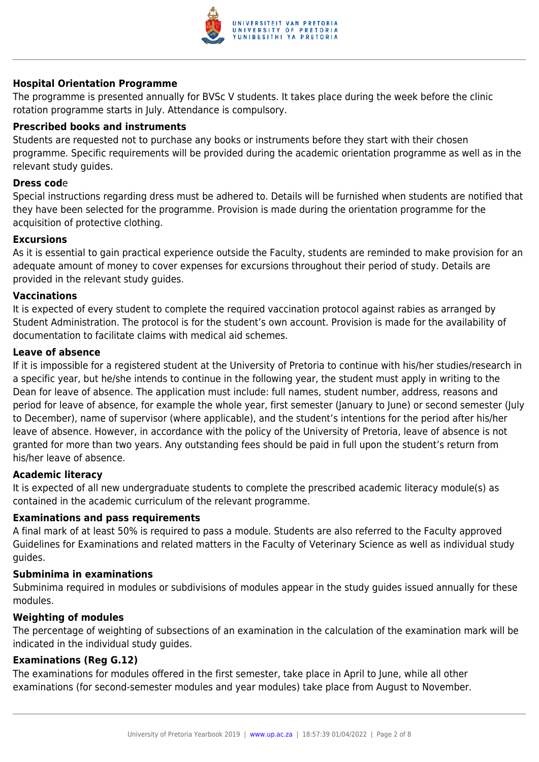

#### **Hospital Orientation Programme**

The programme is presented annually for BVSc V students. It takes place during the week before the clinic rotation programme starts in July. Attendance is compulsory.

#### **Prescribed books and instruments**

Students are requested not to purchase any books or instruments before they start with their chosen programme. Specific requirements will be provided during the academic orientation programme as well as in the relevant study guides.

#### **Dress cod**e

Special instructions regarding dress must be adhered to. Details will be furnished when students are notified that they have been selected for the programme. Provision is made during the orientation programme for the acquisition of protective clothing.

#### **Excursions**

As it is essential to gain practical experience outside the Faculty, students are reminded to make provision for an adequate amount of money to cover expenses for excursions throughout their period of study. Details are provided in the relevant study guides.

#### **Vaccinations**

It is expected of every student to complete the required vaccination protocol against rabies as arranged by Student Administration. The protocol is for the student's own account. Provision is made for the availability of documentation to facilitate claims with medical aid schemes.

#### **Leave of absence**

If it is impossible for a registered student at the University of Pretoria to continue with his/her studies/research in a specific year, but he/she intends to continue in the following year, the student must apply in writing to the Dean for leave of absence. The application must include: full names, student number, address, reasons and period for leave of absence, for example the whole year, first semester (January to June) or second semester (July to December), name of supervisor (where applicable), and the student's intentions for the period after his/her leave of absence. However, in accordance with the policy of the University of Pretoria, leave of absence is not granted for more than two years. Any outstanding fees should be paid in full upon the student's return from his/her leave of absence.

#### **Academic literacy**

It is expected of all new undergraduate students to complete the prescribed academic literacy module(s) as contained in the academic curriculum of the relevant programme.

#### **Examinations and pass requirements**

A final mark of at least 50% is required to pass a module. Students are also referred to the Faculty approved Guidelines for Examinations and related matters in the Faculty of Veterinary Science as well as individual study guides.

#### **Subminima in examinations**

Subminima required in modules or subdivisions of modules appear in the study guides issued annually for these modules.

#### **Weighting of modules**

The percentage of weighting of subsections of an examination in the calculation of the examination mark will be indicated in the individual study guides.

#### **Examinations (Reg G.12)**

The examinations for modules offered in the first semester, take place in April to June, while all other examinations (for second-semester modules and year modules) take place from August to November.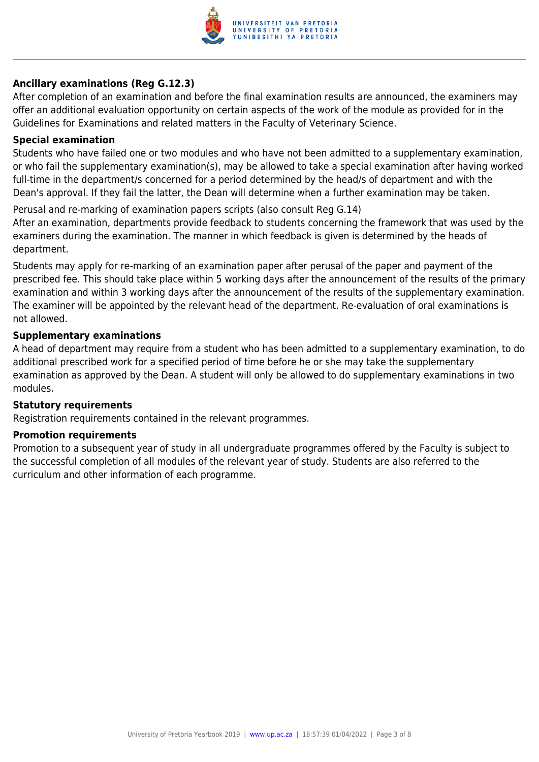

#### **Ancillary examinations (Reg G.12.3)**

After completion of an examination and before the final examination results are announced, the examiners may offer an additional evaluation opportunity on certain aspects of the work of the module as provided for in the Guidelines for Examinations and related matters in the Faculty of Veterinary Science.

#### **Special examination**

Students who have failed one or two modules and who have not been admitted to a supplementary examination, or who fail the supplementary examination(s), may be allowed to take a special examination after having worked full-time in the department/s concerned for a period determined by the head/s of department and with the Dean's approval. If they fail the latter, the Dean will determine when a further examination may be taken.

Perusal and re-marking of examination papers scripts (also consult Reg G.14)

After an examination, departments provide feedback to students concerning the framework that was used by the examiners during the examination. The manner in which feedback is given is determined by the heads of department.

Students may apply for re-marking of an examination paper after perusal of the paper and payment of the prescribed fee. This should take place within 5 working days after the announcement of the results of the primary examination and within 3 working days after the announcement of the results of the supplementary examination. The examiner will be appointed by the relevant head of the department. Re-evaluation of oral examinations is not allowed.

#### **Supplementary examinations**

A head of department may require from a student who has been admitted to a supplementary examination, to do additional prescribed work for a specified period of time before he or she may take the supplementary examination as approved by the Dean. A student will only be allowed to do supplementary examinations in two modules.

#### **Statutory requirements**

Registration requirements contained in the relevant programmes.

#### **Promotion requirements**

Promotion to a subsequent year of study in all undergraduate programmes offered by the Faculty is subject to the successful completion of all modules of the relevant year of study. Students are also referred to the curriculum and other information of each programme.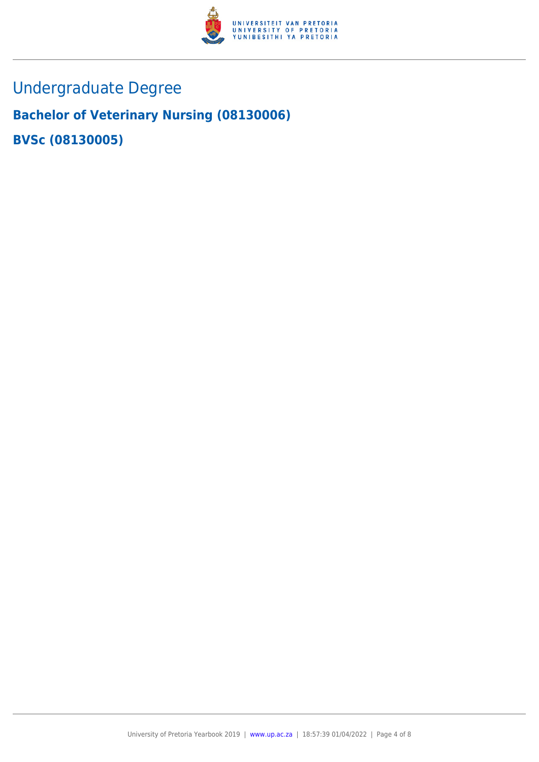

## Undergraduate Degree

## **Bachelor of Veterinary Nursing (08130006) BVSc (08130005)**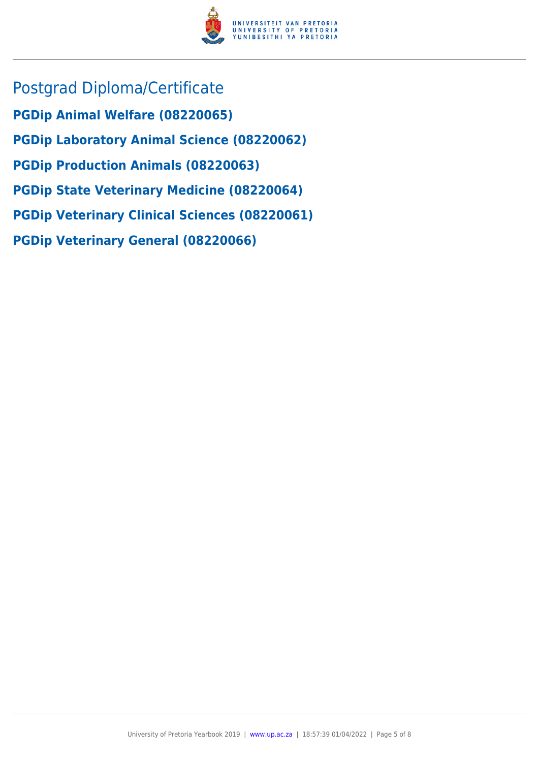

Postgrad Diploma/Certificate **PGDip Animal Welfare (08220065) PGDip Laboratory Animal Science (08220062) PGDip Production Animals (08220063) PGDip State Veterinary Medicine (08220064) PGDip Veterinary Clinical Sciences (08220061) PGDip Veterinary General (08220066)**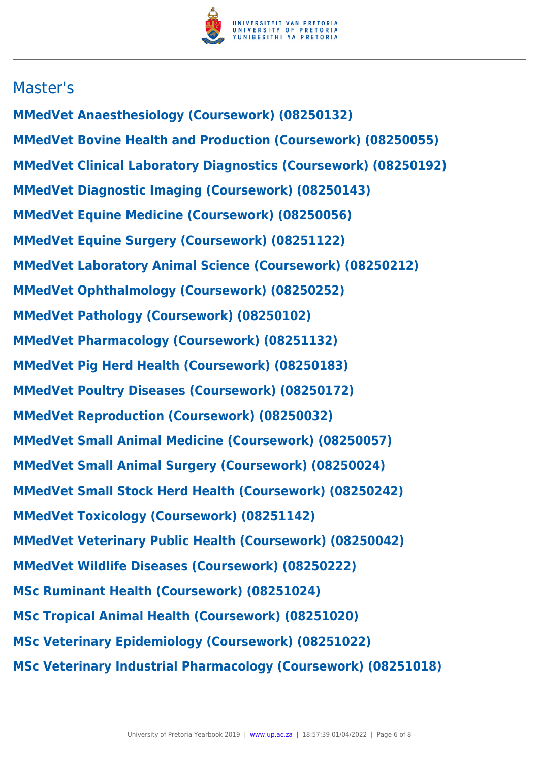

### Master's

**MMedVet Anaesthesiology (Coursework) (08250132) MMedVet Bovine Health and Production (Coursework) (08250055) MMedVet Clinical Laboratory Diagnostics (Coursework) (08250192) MMedVet Diagnostic Imaging (Coursework) (08250143) MMedVet Equine Medicine (Coursework) (08250056) MMedVet Equine Surgery (Coursework) (08251122) MMedVet Laboratory Animal Science (Coursework) (08250212) MMedVet Ophthalmology (Coursework) (08250252) MMedVet Pathology (Coursework) (08250102) MMedVet Pharmacology (Coursework) (08251132) MMedVet Pig Herd Health (Coursework) (08250183) MMedVet Poultry Diseases (Coursework) (08250172) MMedVet Reproduction (Coursework) (08250032) MMedVet Small Animal Medicine (Coursework) (08250057) MMedVet Small Animal Surgery (Coursework) (08250024) MMedVet Small Stock Herd Health (Coursework) (08250242) MMedVet Toxicology (Coursework) (08251142) MMedVet Veterinary Public Health (Coursework) (08250042) MMedVet Wildlife Diseases (Coursework) (08250222) MSc Ruminant Health (Coursework) (08251024) MSc Tropical Animal Health (Coursework) (08251020) MSc Veterinary Epidemiology (Coursework) (08251022) MSc Veterinary Industrial Pharmacology (Coursework) (08251018)**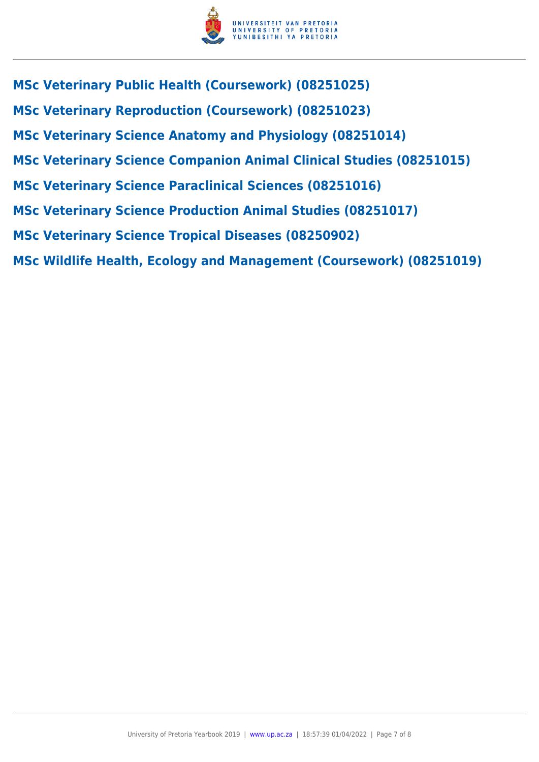

**MSc Veterinary Public Health (Coursework) (08251025) MSc Veterinary Reproduction (Coursework) (08251023) MSc Veterinary Science Anatomy and Physiology (08251014) MSc Veterinary Science Companion Animal Clinical Studies (08251015) MSc Veterinary Science Paraclinical Sciences (08251016) MSc Veterinary Science Production Animal Studies (08251017) MSc Veterinary Science Tropical Diseases (08250902) MSc Wildlife Health, Ecology and Management (Coursework) (08251019)**